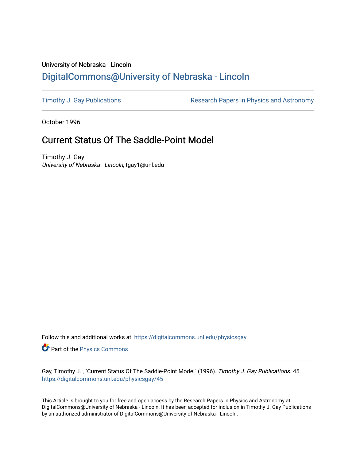# University of Nebraska - Lincoln [DigitalCommons@University of Nebraska - Lincoln](https://digitalcommons.unl.edu/)

[Timothy J. Gay Publications](https://digitalcommons.unl.edu/physicsgay) **Research Papers in Physics and Astronomy** 

October 1996

# Current Status Of The Saddle-Point Model

Timothy J. Gay University of Nebraska - Lincoln, tgay1@unl.edu

Follow this and additional works at: [https://digitalcommons.unl.edu/physicsgay](https://digitalcommons.unl.edu/physicsgay?utm_source=digitalcommons.unl.edu%2Fphysicsgay%2F45&utm_medium=PDF&utm_campaign=PDFCoverPages)

Part of the [Physics Commons](http://network.bepress.com/hgg/discipline/193?utm_source=digitalcommons.unl.edu%2Fphysicsgay%2F45&utm_medium=PDF&utm_campaign=PDFCoverPages)

Gay, Timothy J., "Current Status Of The Saddle-Point Model" (1996). Timothy J. Gay Publications. 45. [https://digitalcommons.unl.edu/physicsgay/45](https://digitalcommons.unl.edu/physicsgay/45?utm_source=digitalcommons.unl.edu%2Fphysicsgay%2F45&utm_medium=PDF&utm_campaign=PDFCoverPages) 

This Article is brought to you for free and open access by the Research Papers in Physics and Astronomy at DigitalCommons@University of Nebraska - Lincoln. It has been accepted for inclusion in Timothy J. Gay Publications by an authorized administrator of DigitalCommons@University of Nebraska - Lincoln.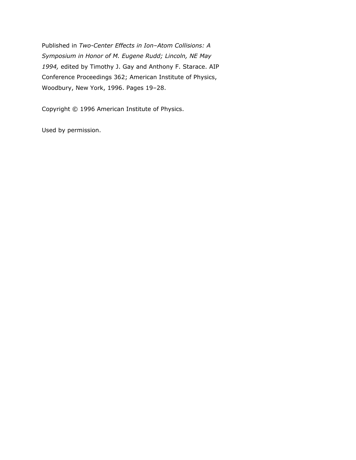Published in *Two-Center Effects in Ion–Atom Collisions: A Symposium in Honor of M. Eugene Rudd; Lincoln, NE May 1994,* edited by Timothy J. Gay and Anthony F. Starace. AIP Conference Proceedings 362; American Institute of Physics, Woodbury, New York, 1996. Pages 19–28.

Copyright © 1996 American Institute of Physics.

Used by permission.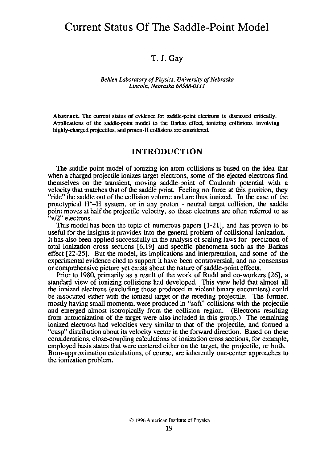## Current Status Of The Saddle-Point Model

### **T. J. Gay**

#### *Behlen Laboratory of Physics. Universiry* **of** *Nebraska Lincoln, Nebraska 68588-011 1*

Abstract. The current status of evidence for saddle-point electrons is discussed critically. Applications of **the** saddle-point model to **the** Barkas effect ionizing collisions involving highly-charged projectiles, and proton-H collisions are considered.

### **INTRODUCTION**

The saddle-point model of ionizing ion-atom collisions is based on the idea that when a charged projectile ionizes target electrons, some of the ejected electrons find themselves on the transient, moving saddle-point of Coulomb potential with a velocity that matches that of the saddle point Feeling no force at this position, they "ride" the saddle out of the collision volume and are thus ionized. In the case of the prototypical H'+H system, or in any proton - neutral target collision, the saddle point moves at half the projectile velocity, so these electrons **are** often referred to as "v/2" electrons.

This model has been the topic of numerous papers  $[1-21]$ , and has proven to be useful for the insights it provides into the probiem of collisiond ionization. It has also been applied successfully in the analysis of scaling laws for prediction of total ionization cross sections [6,19] and specific phenomena such as the Barkas effect [22-251. But the model, its implications and interpretation, and some of the experimental evidence cited to support it have been controversial, and no consensus or comprehensive picture yet exists about the nature of saddle-point effects.

Prior to 1980, primarily as a result of the work of Rudd and co-workers [26], a standard view of ionizing collisions had developed. This view held that almost all the ionized electrons (excluding those produced in violent binary encounters) could be associated either with the ionized target or the receding projectile. The former, mostly having small momenta. were produced in "soft" collisions with the projectile and emerged almost isotropically from the collision region. (Electrons resulting from autoionization of the target were also included in this group.) The remaining ionized electrons had velocities very similar to that of the proiectile. and formed a "cusp" distribution about its velocity vector in the forward direction. Based on these considerations, close-coupling calculations of ionization cross sections, for example, employed basis states that were centered either on the target, the projectile, or both. Born-approximation calculations. of course, are inherently one-center approaches to the ionization problem.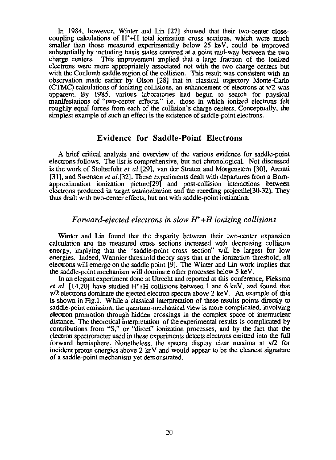In 1984, however, Winter and Lin [27] showed that their two-center closecoupling calculations of **H'+H** total ionization cross sections, which were much smaller than those measured experimentally below 25 keV, could be improved substantially by including basis states centered at a point mid-way between the two charge centers. This improvement implied that a large fraction of the ionized electrons were more appropriately associated not with the two charge centers but with the Coulomb saddle region of the collision. This result was consistent with an observation made earlier by Olson [28] that in classical trajectory Monte-Carlo (CTMC) calculations of ionizing collisions, an enhancement of electrons at v/2 was apparent By 1985. various laboratories had begun to search for physical manifestations of "two-center effects," i.e. those in which ionized electrons felt roughly equal forces from each of the collision's charge centers. Conceptually, the simplest example of such an effect is the existence of saddle-point electrons.

### **Evidence for Saddle-Point Electrons**

A brief critical analysis and overview of the various evidence for saddle-point electrons follows. The list is comprehensive, hut not chronological. Not discussed is the work of Stolterfoht *et* a1.[29], van der Straten and Morgenstem [301, Arcuni [31], and Swensen et al. [32]. These experiments dealt with departures from a Bornapproximation ionization picture<sup>[29]</sup> and post-collision interactions between electrons produced in target autoionization and the receding projectile[30-32]. They thus dealt with two-center effects, but not with saddle-point ionization.

#### *Forward-ejected electrons in slow H++H ionizing collisions*

Winter and Lin found that the disparity between their two-center expansion calculation and the measured cross sections increased with decreasing collision energy, implying that the "saddle-point cross section" will be largest for low energies. Indeed, Wannier threshold theory says that at the ionization threshold. all electrons will emerge on the saddle point [9]. The Winter and Lin work implies that the saddle-point mechanism will dominate other processes below 5 keV.

In an elegant experiment done at Utrecht and reported at this conference, Pieksma *et* al. [14,20] have studied H'+H collisions between 1 and 6 keV. and found that v12 electrons dominate the ejected electron spectra above 2 keV. An example of this is shown in Fig.1. While a classical interpretation of these results points directly to saddle-point emission, the quantum-mechanical view is more complicated, involving electron promotion through hidden crossings in the complex space of internuclear distance. The theoretical interpretation of the experimental results is complicated by contributions from "S," or "direct" ionization processes, and by the fact that the electron spectrometer used in these experiments detects electrons emitted into the full forward hemisphere. Nonetheless, the spectra display clear maxima at v/2 for incident proton energies above 2 **keV** and would appear to be the cleanest signature of a saddle-point mechanism yet demonstrated.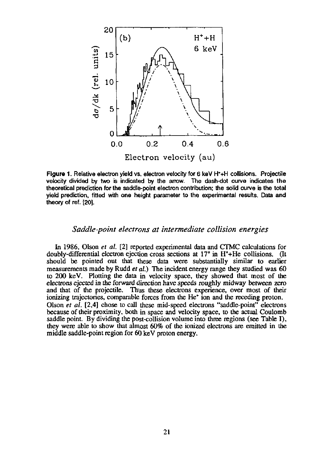

Figure 1. Relative electron yield vs. electron velocity for 6 keV H<sup>+</sup>+H collisions. Projectile velocity divided **by** two **is** indicated **by** the **anow.** The dash-dot curve indicates the theoretical prediction for the saddlepoint electron contribution: the **sold** curve **is** the total yield prediction, fitted with one height parameter to the experimental results. **Data** and theory of ref. **[20].** 

#### *Saddle-point electrons at intermediate collision energies*

In 1986, Olson et **al. [21** reported experimental **data** and CTMC calculations for doubly-differential electron ejection cross sections at 17<sup>°</sup> in H<sup>+</sup>+He collisions. (It should be pointed out that these **data** were substantially similar to earlier measurements made by Rudd et *al.)* The incident energy range they studied was 60 to 200 keV. Plotting the data in velocity space, they showed that most of the electrons ejected in the forward direction have speeds roughly midway between zero and that of the projectile. Thus these electrons experience. over most of their ionizing trajectories, comparable forces from the He' ion and the receding proton. Olson et al. **[2,4]** chose to call these mid-speed electrons "saddle-point" electrons because of their proximity, both in space and velocity space, to the actual Coulomb saddle point. By dividing the post-collision volume into three regions (see Table I), they were able to show that almost 60% of the ionized electrons are emitted in the middle saddle-point region for 60 keV proton energy.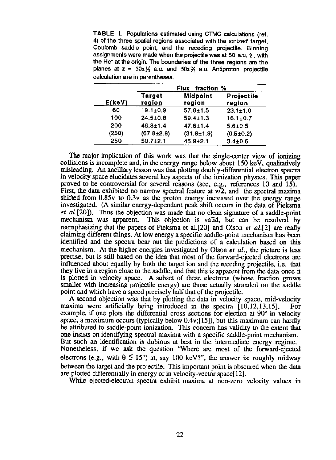TABLE I. Populations estimated using CTMC calculations (ref. **4)** of the three spatial regions associated with the ionized target. Coulomb saddle point, and the receding projectile. Binning assignments were made when the projectile was at 50 a.u. 2, with the He\* at the origin. The boundaries of the three regions **are** the planes at  $z = 50x\frac{1}{3}$  a.u. and  $50x\frac{1}{3}$  a.u. Antiproton projectile calculation are in parentheses.

| $E($ keV $)$ | Flux fraction %  |                    |                      |
|--------------|------------------|--------------------|----------------------|
|              | Target<br>region | Midpoint<br>region | Projectile<br>region |
| 60           | $19.1 \pm 0.9$   | $57.8 \pm 1.5$     | $23.1 \pm 1.0$       |
| 100          | $24.5 + 0.8$     | $59.4 \pm 1.3$     | $16.1 \pm 0.7$       |
| 200          | $46.8 \pm 1.4$   | $47.6 \pm 1.4$     | $5.6 + 0.5$          |
| (250)        | $(67.8 + 2.8)$   | $(31.8 + 1.9)$     | $(0.5 \pm 0.2)$      |
| 250          | $50.7 + 2.1$     | $45.9 + 2.1$       | $3.4 \pm 0.5$        |

The major implication of this work was that the single-center view of ionizing collisions is incomplete and, in the energy range below about 150 keV, qualitatively misleading. An ancillary lesson was that plotting doubly-differential electron spectra in velocity space elucidates several key aspects of the ionization physics. This paper proved to be controversial for several reasons (see. e.g., references 10 and 15). First, the data exhibited no narrow spectral feature at  $v/2$ , and the spectral maxima shifted from 0.85y to 0.3y as the proton energy increased over the energy range investigated. (A similar energy-dependant peak shift occurs in the data of Pieksma *et al.* [20]). Thus the objection was made that no clean signature of a saddle-point mechanism was apparent. This objection is valid, but can be resolved by This objection is valid, but can be resolved by reemphasizing that the papers of Pieksma et al.[20] and Olson *et al.*[2] are really claiming different things. At low energy a specific saddle-point mechanism has been identified and the spectra bear out the predictions of a calculation based on this mechanism. At the higher energies investigated by Olson *et* al., the picture is less precise. but is still based on the idea that most of the forward-ejected electrons are influenced about equally by both the target ion and the receding projectile, i.e. that they live in a region close to the saddle, and that this is apparent from the data once it is plotted in velocity space. A subset of these electrons (whose fraction grows smaller with increasing projectile energy) **are** those actually stranded on the saddle point and which have a speed precisely half that of the projectile.

A second objection was that by plotting the data in velocity space, mid-velocity maxima were artificially being introduced in the spectra [10,12,13,15]. For example, if one plots the differential cross sections for ejection at 90<sup>°</sup> in velocity space, a maximum occurs (typically below 0.4v;[15]). but this maximum can hardly be attributed to saddle-point ionization. This concern has validity to the extent that one insists on identifying spectral maxima with a specific saddle-point mechanism. But such an identification is dubious at best in the intermediate energy regime. Nonetheless, if we ask the question "Where are most of the forward-ejected electrons (e.g., with  $\theta \leq 15^{\circ}$ ) at, say 100 keV?", the answer is: roughly midway between the target and the projectile. This important point is obscured when the **data**  are plotted differentially in energy or in velocity-vector space[l2].

While ejected-electron spectra exhibit maxima at non-zero velocity values in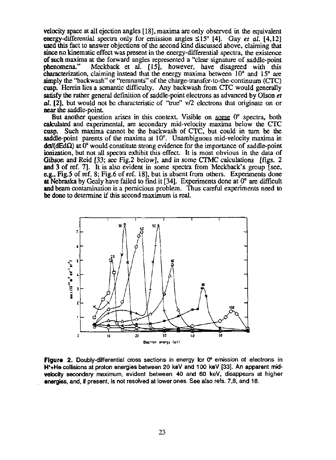velocity space at all ejection angles [IS]. maxima are only observed in the equivalent energy-differential spectra only for emission angles  $\leq 15^{\circ}$  [4]. Gay et al. [4,12] used this fact to answer objections of the second kind discussed above, claiming that **since** no kinematic effect was present in the energy-differential spectra, the existence of such maxima at the forward angles represented a "clear signature of saddle-point Meckback et al. [15], however, have disagreed with this characterization, claiming instead that the energy maxima between 10° and 15° are simply the "backwash" or "remnants" of the charge-transfer-to-the-continuum **(CTC)** cusp. Herein lies a semantic difficulty. Any backwash from **CTC** would generally satisfy the rather general definition of saddle-point electrons as advanced by Olson et **01.** [2], but would not be characteristic of **"uue" vf2** electrons that originate on or near the saddle-point.

But another question arises in this context. Visible on some  $0^{\circ}$  spectra, both calculated and experimental, **are.** secondary mid-velocity maxima below the **CTC**  cusp. Such maxima cannot be the backwash of CTC, but could in turn be the saddle-point parents of the maxima at 10°. Unambiguous mid-velocity maxima in  $d\sigma/(dEd\Omega)$  at 0° would constitute strong evidence for the importance of saddle-point ionization, but not all spectra exhibit this effect. It is most obvious in the data of Gibson and Reid [33; **see** Fig.2 below], and in some **CTMC** calculations [figs. 2 and 3 of ref. 71. It is also evident in some spectra from Meckback's group [see, **e.g.,** Fig.5 of ref. 8; Fig.6 of ref. 181, but is absent from others. Experiments done at Nebraska by Gealy have failed to fmd it **[34].** Experiments done at 0' are difficult and beam contamination is a pernicious problem. Thus careful experiments need **to**  be done to determine if this second maximum is real.



Figure 2. Doubly-differential cross sections in energy for 0° emission of electrons in W+He collisions at proton energies between 20 keV and 100 keV **[33].** An apparent ma **velocity** secondary maximum, evident between 40 and 60 keV, disappears **at** higher energies, and, **if** present, is not resobed at lower ones. See also refs. **73,** and 18.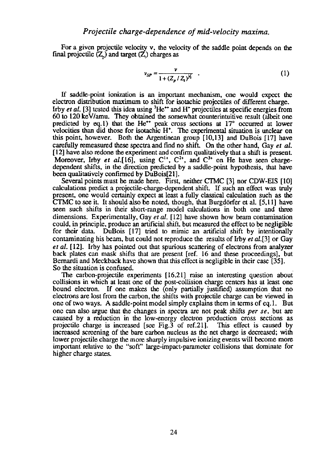For a given projectile velocity v. the velocity of the saddle point depends on the final projectile  $(\mathbb{Z}_p)$  and target  $(\mathbb{Z}_p)$  charges as

$$
v_{SP} = \frac{v}{1 + (Z_p / Z_t)^{\frac{1}{2}}} \quad . \tag{1}
$$

If saddle-ooint ionization is an imoortant mechanism. one would exoect the electron distribution maximum to shift for isotachic projectiles of different charge. Irby *et al.* [3] tested this idea using  ${}^{3}He^{++}$  and H<sup>+</sup> projectiles at specific energies from 60 to I20 kevlamu. Thev obtained the somewhat counterintuitive result (albeit one predicted by eq.1) that the He<sup>++</sup> peak cross sections at  $17^{\circ}$  occurred at lower velocities than did those for isotachic H'. The experimental situation is unclear on this point. however. Both the Argentinean group [10.13] and DuBois 1171 have carefully remeasured these spectra and find no shift. On the other hand, Gay et al. [I21 have also redone the experiment and confirm qualitatively that a shift is present. Moreover, Irby *et al.*[16], using  $C^{1*}$ ,  $C^{2*}$ , and  $C^{3*}$  on He have seen chargedependent shifts, in the direction predicted by a saddle-point hypothesis, that have been qualitatively confirmed by DuBois[Zl].

Several points must be made here. First, neither **CTMC** [3] nor CDW-EIS [lo] calculations predict a projectile-charge-dependent shift. If such an effect was vuly present, one would certainly expect at least a fully classical calculation such as the CTMC to see it. It should also be noted, though, that Burgdörfer et al.  $[5,11]$  have seen such shifts in their short-range model calculations in both one and **three**  dimensions. Experimentally, Gay *et* al. [I21 have shown how beam contamination could, in principle, produce an artificial shift, but measured the effect to be negligible for their data. DuBois [17] tried to mimic an artificial shift by intentionally contaminating his beam. but could not reproduce the results of Irby *et* a1.[3] or Gay *et* al. [121. Irby has pointed out that spurious scattering of electrons from analyzer back plates can mask shifts that **are** present [ref. 16 and these proceedings], but Bemardi and Meckback have shown that this effect is negligible in their case [35]. So the situation is confused.

**The** carbon-projectile experiments [16,21] raise an interesting question about collisions in which at least one of the post-collision charge centers has at least one bound electron. If one makes the (only partially justified) assumption that no electrons are lost from the carbon, the shifts with projectile charge can be viewed in one of two ways. A saddle-point model simply explains them in terms of eq. 1. But one can also argue that the changes in spectra **are** not peak shifts per se, but are caused by a reduction in the low-energy electron production cross sections as projectile charge is increased [see Fig.3 of ref.211. This effect is caused by increased screening of the bare carbon nucleus as the net charge is decreased, with lower projectile charge the more sharply impulsive ionizing events will become more important relative to the "soft" large-impact-parameter collisions that dominate for higher charge states.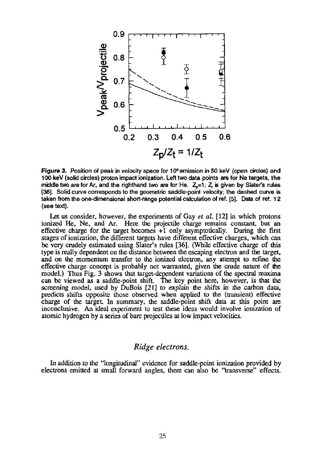

**Figure 3.** Position of peak in velocity space for 10° emission in 50 keV (open circles) and 100 keV (solid circles) proton impact ionization. Left two data points are for Ne targets, the middle **two** are for **Ar,** and the righthand two are for He. **&=I** ; & **is** given **by** Sbtets rules **(361.** Solid curve corresponds to the geometric saddle-point velocity; the dashed curve **is**  taken from the one-dimensional short-range potential calculation of ref. [5]. Data of ref. 12 (see text).

Let us consider. however, the experiments of Gay **er** *al.* **[12]** in which protons ionized He, Ne, and *Ar.* Here the projectile charge remains constant, but an effective charge for the target becomes  $+1$  only asymptotically. During the first stages of ionization, the different targets have different effective charges, which can be very crudely estimated using Slater's rules *[36].* (While effective charge of this type is really dependent on the distance between the escaping electron and the target, and on the momentum transfer to the ionized electron, any attempt to refine the effective charge concept is probably not warranted, given the crude nature of the. model.) Thus Fig. 3 shows that target-dependent variations of the spectral maxima can be viewed as a saddle-point shift. The key point here. however. is that the screening model, used by DuBois **[21]** to explain the shifts in the carbon data, predicts shifts opposite those observed when applied to the (transient) effective charge of the target In summary, the saddle-point shift data at this point are inconclusive. An ideal experiment to test these ideas would involve ionization of atomic hydrogen by a series of bare projectiles at low impact velocities.

## *Ridge* **electrons.**

In addition to the "longitudinal" evidence for saddle-point ionization provided by electrons emitted **at** small forward angles, there can also be "transverse" effects.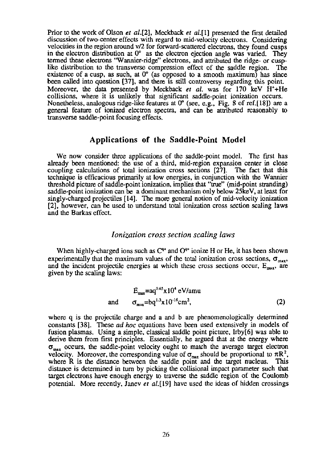Prior to the work of Olson *et al.*[2], Meckback *et al.*[1] presented the first detailed discussion of two-center effects with regard to mid-velocity electrons. Considering velocities in the region around  $v/2$  for forward-scattered electrons, they found cusps in the electron distribution at  $0^{\circ}$  as the electron ejection angle was varied. They termed these electrons "Wannier-ridge" electrons, and attributed the ridge- or cusp-<br>like distribution to the transverse compression effect of the saddle region. The like distribution to the transverse compression effect of the saddle region. existence of a cusp, as such, at  $0^{\circ}$  (as opposed to a smooth maximum) has since been called into question [37], and there is still controversy regarding this point. Moreover, the data presented by Meckhack *et* al. was for 170 keV H'+He collisions. where it is unlikely that significant saddle-point ionization occurs. Nonetheless, analogous ridge-lie features at 0" (see, e.g., Fig. 8 of ref.[l8]) **are** a general feature of ionized electron spectra, and can be attributed reasonably to transverse saddle-point focusing effects.

#### **Applications of the Saddle-Point Model**

We now consider **three** applications of the saddle-point model. The fust has already been mentioned: the use of a third, mid-region expansion center in close coupling calculations of total ionization cross sections [27]. The fact that this technique is efficacious primarily at low energies, in conjunction with the Wannier threshold picture of saddle-point ionization, implies that "true" (mid-point stranding) saddle-point ionization can be a dominant mechanism only below 25keV, at least for singly-charged projectiles [14]. The more general notion of mid-velocity ionization **[2],** however, can be used to understand total ionization cross section scaling laws and the **Barkas** effect.

#### *Ionization cross section scaling laws*

When highly-charged ions such as  $C^{4*}$  and  $O^{4*}$  ionize H or He, it has been shown experimentally that the maximum values of the total ionization cross sections,  $\sigma_{\text{max}}$ , and the incident projectile energies at which these cross sections occur,  $E_{\text{max}}$ , are given by the scaling laws:

$$
E_{\text{max}} = aq^{0.65}x10^4 \text{ eV/amu}
$$
  
and  $\sigma_{\text{max}} = bq^{1.3}x10^{-16} \text{cm}^2$ , (2)

where q is the projectile charge and a and b **are** phenomenologically determined constants [38]. These ad *hoc* equations have been used extensively in models of fusion plasmas. Using a simple. classical saddle point picture, Irby[6] was able to derive them from first principles. Essentially, he argued that at the energy where  $\sigma_{\text{max}}$  occurs, the saddle-point velocity ought to match the average target electron velocity. Moreover, the corresponding value of  $\sigma_{\text{max}}$  should be proportional to  $\pi R^2$ , where **R** is the distance between the saddle point and the target nucleus. This distance is determined in turn by picking the collisional impact parameter such that target electrons have enough energy to traverse **the** saddle region of **the** Coulomb potential. More recently, Janev *et* al.[19] have used the ideas of hidden crossings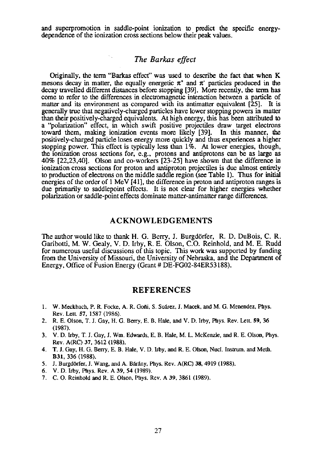and superpromotion in saddle-point ionization to predict the specific energydependence of the ionization cross sections below their peak values.

## *The Barkas effect*

Originally, the term "Barkas effect" was used to **describe** the fact that when K mesons decay in matter, the equally energetic  $\pi^*$  and  $\pi$  particles produced in the decay travelled different distances before stopping **[39].** More recently, the term has come to refer to the differences in electromagnetic interaction between a particle of matter and its environment as compared with its antimatter equivalent [25]. It is generally true that negatively-charged particles have lower stopping powers in matter than their positively-charged equivalents. At high energy, this has been atuibuted to a "polarization" effect, in which swift positive projectiles draw target electrons toward them. makine ionization events more likelv **1391.** In this manner, the positively-charged particle loses energy more quickly and thus experiences a higher stopping power. This effect is typically less than  $1\%$ . At lower energies, though, the ionization cross sections for, e.g., protons and antiprotons can be as large as 40% [22,23,40]. Olson and co-workers [23-251 have shown that the difference in ionization cross sections for proton and antiproton projectiles is due almost entirely to production of electrons on the middle saddle region (see Table 1). Thus for initial energies of the order of 1 MeV [41], the difference in proton and antiproton ranges is due primarily to saddlepoint effects. It is not clear for higher energies whether polarization or saddle-point effects dominate matter-antimatter range differences.

#### **ACKNOWLEDGEMENTS**

The author would like to thank H. G. Berry, J. Burgdörfer, R. D. DuBois, C. R. Garibotti, M. W. Gealv. V. D. Irbv, R. E. Olson. C.O. Reinhold, and M. E. Rudd for numerous useful dikussions of this topic. This work was supported **by** funding from the Universitv of Missouri. he Universitv of Nehnska. and **thc** Deoment of Energy, Office of Fusion Energy (Grant  $#$  DE-FG02-84ER53188).

#### **REFERENCES**

- **1. W. Meckbach, P. R. Focke. A. R. Goiii, S. Su&rerez, J. Macek,** and **M. G. Menendez, Phys. Rev. LetL 57, 1587 (1986).**
- **2. R. E. Olson, T. 1. Gay, H. G. Bmy, E. B. Hale,** and **V. D. Irby, Phys. Rev. Lett. 59, 36 (1987).**
- **3. V. D. Irby. T. J. Gay. I.** Wm. **Edwards.** E. B. **Hale, M. L. McKenzie,** and **R. E. Olson, Phys. Rev. A(RC) 37, 3612 (1988).**
- **4. T. I. Gay, H. G. Bew. E. B. Hale, V. D. Irby,** and **R. E. Olson. Nucl. Insuum.** and **Meth. 831, 336 (1988).** .
- **5. 1.** Burzdorfer. **J.** Wane. and **A.** Bh'Anv. **Phvs. Rev. A(RC) 38.4919 (1988)**
- 
- **6. V. D. Irby, Phys. Rev. A 39, 54 (1989). 7. C. O. Reinhold and R. E. Olson, Phys. Rev. <b>A 39, 3861 (1989).**